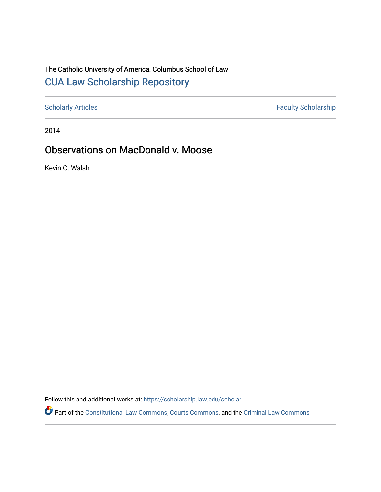# The Catholic University of America, Columbus School of Law [CUA Law Scholarship Repository](https://scholarship.law.edu/)

[Scholarly Articles](https://scholarship.law.edu/scholar) Faculty Scholarship

2014

## Observations on MacDonald v. Moose

Kevin C. Walsh

Follow this and additional works at: [https://scholarship.law.edu/scholar](https://scholarship.law.edu/scholar?utm_source=scholarship.law.edu%2Fscholar%2F1089&utm_medium=PDF&utm_campaign=PDFCoverPages)

Part of the [Constitutional Law Commons,](https://network.bepress.com/hgg/discipline/589?utm_source=scholarship.law.edu%2Fscholar%2F1089&utm_medium=PDF&utm_campaign=PDFCoverPages) [Courts Commons,](https://network.bepress.com/hgg/discipline/839?utm_source=scholarship.law.edu%2Fscholar%2F1089&utm_medium=PDF&utm_campaign=PDFCoverPages) and the [Criminal Law Commons](https://network.bepress.com/hgg/discipline/912?utm_source=scholarship.law.edu%2Fscholar%2F1089&utm_medium=PDF&utm_campaign=PDFCoverPages)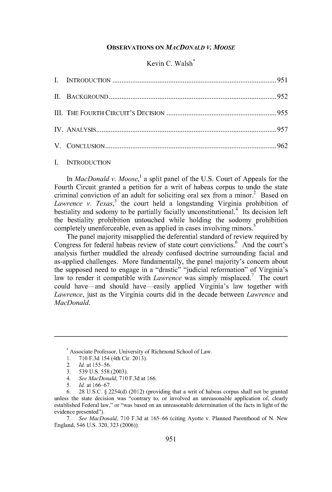#### **OBSERVATIONS ON** *MACDONALD* **V.** *MOOSE*

## Kevin C. Walsh\*

I. INTRODUCTION

In *MacDonald v. Moose, <sup>1</sup>* a split panel of the U.S. Court of Appeals for the Fourth Circuit granted a petition for a writ of habeas corpus to undo the state criminal conviction of an adult for soliciting oral sex from a minor.<sup>2</sup> Based on *Lawrence v. Texas*,<sup>3</sup> the court held a longstanding Virginia prohibition of bestiality and sodomy to be partially facially unconstitutional.<sup>4</sup> Its decision left the bestiality prohibition untouched while holding the sodomy prohibition completely unenforceable, even as applied in cases involving minors.<sup>5</sup>

The panel majority misapplied the deferential standard of review required by Congress for federal habeas review of state court convictions.<sup>6</sup> And the court's analysis further muddled the already confused doctrine surrounding facial and as-applied challenges. More fundamentally, the panel majority's concern about the supposed need to engage in a "drastic" "judicial reformation" of Virginia's law to render it compatible with *Lawrence* was simply misplaced.<sup>7</sup> The court could have-and should have-easily applied Virginia's law together with *Lawrence,* just as the Virginia courts did in the decade between *Lawrence* and *MacDonald.* 

- 4. *See MacDonald,* 710 F.3d at 166.
- 5. *Id.* at 166-67.

7. *See MacDonald,* 710 F.3d at 165-66 (citing Ayotte v. Planned Parenthood of N. New England, 546 U.S. 320, 323 (2006)).

<sup>&#</sup>x27;Associate Professor, University of Richmond School of Law.

I. 710 F.3d 154 (4th Cir. 2013).

<sup>2.</sup> *Id.* at 155-56.

<sup>3. 539</sup> U.S. 558 (2003).

<sup>6. 28</sup> U.S.C. § 2254(d) (2012) (providing that a writ of habeas corpus shall not be granted unless the state decision was "contrary to, or involved an unreasonable application of, clearly established Federal law," or "was based on an unreasonable determination of the facts in light of the evidence presented").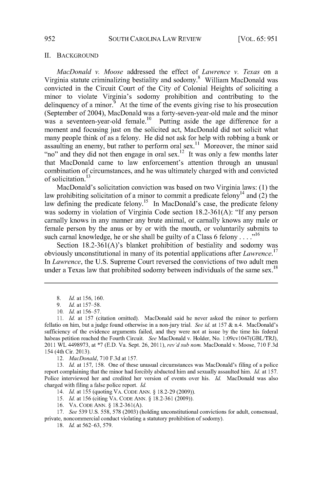#### II. BACKGROUND

*MacDonald v. Moose* addressed the effect of *Lawrence v. Texas* on a Virginia statute criminalizing bestiality and sodomy.<sup>8</sup> William MacDonald was convicted in the Circuit Court of the City of Colonial Heights of soliciting a minor to violate Virginia's sodomy prohibition and contributing to the delinquency of a minor. $9$  At the time of the events giving rise to his prosecution (September of 2004), MacDonald was a forty-seven-year-old male and the minor was a seventeen-year-old female.<sup>10</sup> Putting aside the age difference for a moment and focusing just on the solicited act, MacDonald did not solicit what many people think of as a felony. He did not ask for help with robbing a bank or assaulting an enemy, but rather to perform oral sex.<sup>11</sup> Moreover, the minor said "no" and they did not then engage in oral sex.<sup>12</sup> It was only a few months later that MacDonald came to law enforcement's attention through an unusual combination of circumstances, and he was ultimately charged with and convicted of solicitation.<sup>13</sup>

MacDonald's solicitation conviction was based on two Virginia laws: (1) the law prohibiting solicitation of a minor to commit a predicate felony<sup>14</sup> and  $(2)$  the law defining the predicate felony.<sup>15</sup> In MacDonald's case, the predicate felony was sodomy in violation of Virginia Code section 18.2-361(A): "If any person carnally knows in any manner any brute animal, or carnally knows any male or female person by the anus or by or with the mouth, or voluntarily submits to such carnal knowledge, he or she shall be guilty of a Class 6 felony ...."<sup>16</sup>

Section 18.2-361(A)'s blanket prohibition of bestiality and sodomy was obviously unconstitutional in many of its potential applications after *Lawrence.* <sup>17</sup> In *Lawrence,* the U.S. Supreme Court reversed the convictions of two adult men under a Texas law that prohibited sodomy between individuals of the same sex.<sup>18</sup>

14. *Id.* at 155 (quoting VA. CODE ANN. § 18.2-29 (2009)).

15. *Id.* at 156 (citing VA. CODE ANN.§ 18.2-361 (2009)).

16. VA. CODE ANN.§ 18.2-36l(A).

<sup>8.</sup> *Id.* at 156, 160.

<sup>9.</sup> *Id.* at 157-58.

<sup>10.</sup> *Id.* at 156-57.

<sup>11.</sup> *Id.* at 157 (citation omitted). MacDonald said he never asked the minor to perform fellatio on him, but a judge found otherwise in a non-jury trial. *See id.* at 157 & n.4. MacDonald's sufficiency of the evidence arguments failed, and they were not at issue by the time his federal habeas petition reached the Fourth Circuit. *See* MacDonald v. Holder, No. 1:09cvl047(GBL/TRJ), 2011WL4498973, at \*7 (E.D. Va. Sept. 26, 2011), *rev'd sub nom.* MacDonald v. Moose, 710 F.3d 154 (4th Cir. 2013).

<sup>12.</sup> *MacDonald,* 710 F.3d at 157.

<sup>13.</sup> *Id.* at 157, 158. One of these unusual circumstances was MacDonald's filing of a police report complaining that the minor had forcibly abducted him and sexually assaulted him. *Id.* at 157. Police interviewed her and credited her version of events over his. *Id.* MacDonald was also charged with filing a false police report. *Id.* 

<sup>17.</sup> *See* 539 U.S. 558, 578 (2003) (holding unconstitutional convictions for adult, consensual, private, noncommercial conduct violating a statutory prohibition of sodomy).

<sup>18.</sup> *Id.* at 562-63, 579.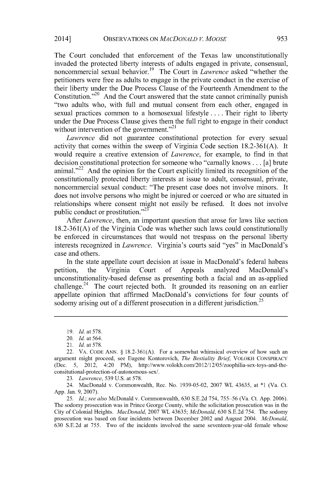The Court concluded that enforcement of the Texas law unconstitutionally invaded the protected liberty interests of adults engaged in private, consensual, noncommercial sexual behavior. 19 The Court in *Lawrence* asked "whether the petitioners were free as adults to engage in the private conduct in the exercise of their liberty under the Due Process Clause of the Fourteenth Amendment to the Constitution."<sup>20</sup> And the Court answered that the state cannot criminally punish "two adults who, with full and mutual consent from each other, engaged in sexual practices common to a homosexual lifestyle .... Their right to liberty under the Due Process Clause gives them the full right to engage in their conduct without intervention of the government."<sup>21</sup>

*Lawrence* did not guarantee constitutional protection for every sexual activity that comes within the sweep of Virginia Code section 18.2-361(A). It would require a creative extension of *Lawrence,* for example, to find in that decision constitutional protection for someone who "carnally knows ... [a] brute animal."<sup>22</sup> And the opinion for the Court explicitly limited its recognition of the constitutionally protected liberty interests at issue to adult, consensual, private, noncommercial sexual conduct: "The present case does not involve minors. It does not involve persons who might be injured or coerced or who are situated in relationships where consent might not easily be refused. It does not involve public conduct or prostitution."<sup>23</sup>

After *Lawrence,* then, an important question that arose for laws like section 18.2-36 l(A) of the Virginia Code was whether such laws could constitutionally be enforced in circumstances that would not trespass on the personal liberty interests recognized in *Lawrence.* Virginia's courts said "yes" in MacDonald's case and others.

In the state appellate court decision at issue in MacDonald's federal habeas petition, the Virginia Court of Appeals analyzed MacDonald's unconstitutionality-based defense as presenting both a facial and an as-applied challenge.<sup>24</sup> The court rejected both. It grounded its reasoning on an earlier appellate opinion that affirmed MacDonald's convictions for four counts of sodomy arising out of a different prosecution in a different jurisdiction.<sup>25</sup>

23. *Lawrence,* 539 U.S. at 578.

24. MacDonald v. Commonwealth, Rec. No. 1939-05-02, 2007 WL 43635, at \*l (Va. Ct. App. Jan. 9, 2007).

25. *Id.; see also* McDonald v. Commonwealth, 630 S.E.2d 754, 755-56 (Va. Ct. App. 2006). The sodomy prosecution was in Prince George County, while the solicitation prosecution was in the City of Colonial Heights. *MacDonald,* 2007 WL 43635; *McDonald,* 630 S.E.2d 754. The sodomy prosecution was based on four incidents between December 2002 and August 2004. *McDonald,*  630 S.E.2d at 755. Two of the incidents involved the same seventeen-year-old female whose

<sup>19.</sup> *Id.* at 578.

<sup>20.</sup> *Id.* at 564.

<sup>21.</sup> *Id.* at 578.

<sup>22.</sup> VA. CODE ANN.  $\S$  18.2-361(A). For a somewhat whimsical overview of how such an argument might proceed, see Eugene Kontorovich, *The Bestiality Brief,* VOLOKH CONSPIRACY (Dec. 5, 2012, 4:20 PM), http://www.volokh.com/2012/12/05/zoophilia-sex-toys-and-theconsitutional-protection-of-autonomous-sex/.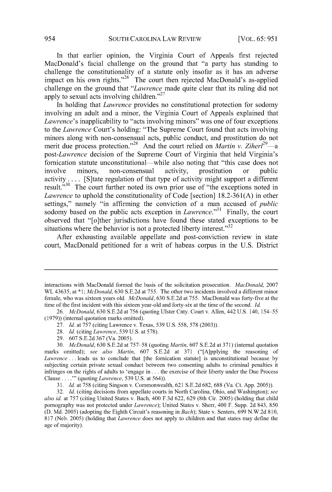In that earlier opinion, the Virginia Court of Appeals first rejected MacDonald's facial challenge on the ground that "a party has standing to challenge the constitutionality of a statute only insofar as it has an adverse impact on his own rights."<sup>26</sup> The court then rejected MacDonald's as-applied challenge on the ground that *"Lawrence* made quite clear that its ruling did not apply to sexual acts involving children."<sup>27</sup>

In holding that *Lawrence* provides no constitutional protection for sodomy involving an adult and a minor, the Virginia Court of Appeals explained that *Lawrence's* inapplicability to "acts involving minors" was one of four exceptions to the *Lawrence* Court's holding: "The Supreme Court found that acts involving minors along with non-consensual acts, public conduct, and prostitution do not merit due process protection.<sup>"28</sup> And the court relied on *Martin v. Ziherl<sup>29</sup>*—a *post-Lawrence* decision of the Supreme Court of Virginia that held Virginia's fornication statute unconstitutional—while also noting that "this case does not involve minors, non-consensual activity, prostitution or public activity. . . . [S]tate regulation of that type of activity might support a different result."<sup>30</sup> The court further noted its own prior use of "the exceptions noted in *Lawrence* to uphold the constitutionality of Code [section] 18.2-361(A) in other settings," namely "in affirming the conviction of a man accused of *public*  sodomy based on the public acts exception in *Lawrence*."<sup>31</sup> Finally, the court observed that "[o]ther jurisdictions have found these stated exceptions to be situations where the behavior is not a protected liberty interest." $32$ 

After exhausting available appellate and post-conviction review in state court, MacDonald petitioned for a writ of habeas corpus in the U.S. District

- 27. *Id.* at 757 (citing Lawrence v. Texas, 539 U.S. 558, 578 (2003)).
- 28. *Id.* (citing *Lawrence,* 539 U.S. at 578).
- 29. 607 S.E.2d 367 (Va. 2005).

interactions with MacDonald formed the basis of the solicitation prosecution. *MacDonald,* 2007 WL 43635, at \*l; *McDonald,* 630 S.E.2d at 755. The other two incidents involved a different minor female, who was sixteen years old. *McDonald,* 630 S.E.2d at 755. MacDonald was forty-five at the time of the first incident with this sixteen year-old and forty-six at the time of the second. *Id.* 

<sup>26.</sup> *McDonald,* 630 S.E.2d at 756 (quoting Ulster Cnty. Court v. Allen, 442 U.S. 140, 154-55 (1979)) (internal quotation marks omitted).

<sup>30.</sup> *McDonald,* 630 S.E.2d at 757-58 (quoting *Martin,* 607 S.E.2d at 371) (internal quotation marks omitted); *see also Martin,* 607 S.E.2d at 371 ("[A]pplying the reasoning of *Lawrence .* .. leads us to conclude that [the fornication statute] is unconstitutional because by subjecting certain private sexual conduct between two consenting adults to criminal penalties it infringes on the rights of adults to 'engage in ... the exercise of their liberty under the Due Process Clause .... "' (quoting *Lawrence,* 539 U.S. at 564)).

<sup>31.</sup> *Id.* at 758 (citing Singson v. Commonwealth, 621 S.E.2d 682, 688 (Va. Ct. App. 2005)).

<sup>32.</sup> *Id.* (citing decisions from appellate courts in North Carolina, Ohio, and Washington); *see also id.* at 757 (citing United States v. Bach, 400 F.3d 622, 629 (8th Cir. 2005) (holding that child pornography was not protected under *Lawrence);* United States v. Sherr, 400 F. Supp. 2d 843, 850 (D. Md. 2005) (adopting the Eighth Circuit's reasoning in *Bach);* State v. Senters, 699 N.W.2d 810, 817 (Neb. 2005) (holding that *Lawrence* does not apply to children and that states may define the age of majority).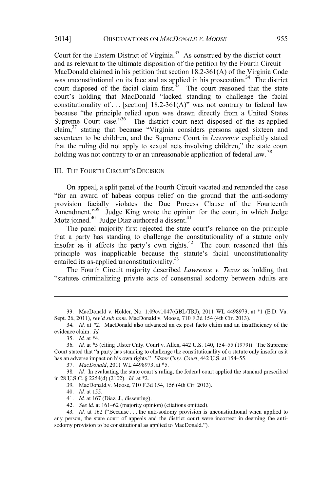Court for the Eastern District of Virginia.<sup>33</sup> As construed by the district courtand as relevant to the ultimate disposition of the petition by the Fourth Circuit-MacDonald claimed in his petition that section 18.2-361(A) of the Virginia Code was unconstitutional on its face and as applied in his prosecution.<sup>34</sup> The district court disposed of the facial claim first.<sup>35</sup> The court reasoned that the state court's holding that MacDonald "lacked standing to challenge the facial constitutionality of ... [section]  $18.2\n-361(A)$ " was not contrary to federal law because "the principle relied upon was drawn directly from a United States Supreme Court case."<sup>36</sup> The district court next disposed of the as-applied claim, $37$  stating that because "Virginia considers persons aged sixteen and seventeen to be children, and the Supreme Court in *Lawrence* explicitly stated that the ruling did not apply to sexual acts involving children," the state court holding was not contrary to or an unreasonable application of federal law.<sup>38</sup>

#### III. THE FOURTH CIRCUIT'S DECISION

On appeal, a split panel of the Fourth Circuit vacated and remanded the case "for an award of habeas corpus relief on the ground that the anti-sodomy provision facially violates the Due Process Clause of the Fourteenth Amendment."<sup>39</sup> Judge King wrote the opinion for the court, in which Judge Motz joined. $40 \text{ Judge } \text{Diaz}$  authored a dissent. $41 \text{ J}$ 

The panel majority first rejected the state court's reliance on the principle that a party has standing to challenge the constitutionality of a statute only insofar as it affects the party's own rights.<sup>42</sup> The court reasoned that this principle was inapplicable because the statute's facial unconstitutionality entailed its as-applied unconstitutionality.<sup>43</sup>

The Fourth Circuit majority described *Lawrence v. Texas* as holding that "statutes criminalizing private acts of consensual sodomy between adults are

37. *MacDonald,2011* WL4498973,at\*5.

38. *Id.* In evaluating the state court's ruling, the federal court applied the standard prescribed in 28 U.S.C. § 2254(d) (2102). *Id.* at \*2.

39. MacDonald v. Moose, 710F.3d154, 156 (4th Cir. 2013).

40. *Id.* at 155.

41. *Id.* at 167 (Diaz, J., dissenting).

42. *See id.* at 161-62 (majority opinion) (citations omitted).

43. *Id.* at 162 ("Because ... the anti-sodomy provision is unconstitutional when applied to any person, the state court of appeals and the district court were incorrect in deeming the antisodomy provision to be constitutional as applied to MacDonald.").

<sup>33.</sup> MacDonald v. Holder, No. 1:09cvl047(GBL/TRJ), 2011 WL 4498973, at \*l (E.D. Va. Sept. 26, 2011), *rev'd sub nom.* MacDonald v. Moose, 710 F.3d 154 (4th Cir. 2013).

<sup>34.</sup> *Id.* at \*2. MacDonald also advanced an ex post facto claim and an insufficiency of the evidence claim. *Id.* 

<sup>35.</sup> *Id.* at \*4.

<sup>36.</sup> *Id.* at \*5 (citing Ulster Cnty. Court v. Allen, 442 U.S. 140, 154-55 (1979)). The Supreme Court stated that "a party has standing to challenge the constitutionality of a statute only insofar as it has an adverse impact on his own rights." *Ulster Cnty. Court,* 442 U.S. at 154-55.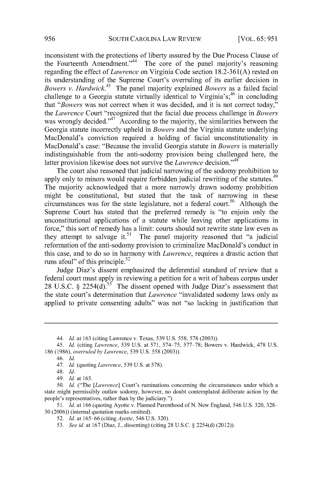inconsistent with the protections of liberty assured by the Due Process Clause of the Fourteenth Amendment."<sup>44</sup> The core of the panel majority's reasoning regarding the effect of *Lawrence* on Virginia Code section 18.2-361(A) rested on its understanding of the Supreme Court's overruling of its earlier decision in *Bowers v. Hardwick. <sup>45</sup>*The panel majority explained *Bowers* as a failed facial challenge to a Georgia statute virtually identical to Virginia's;<sup>46</sup> in concluding that *"Bowers* was not correct when it was decided, and it is not correct today," the *Lawrence* Court "recognized that the facial due process challenge in *Bowers*  was wrongly decided."<sup>47</sup> According to the majority, the similarities between the Georgia statute incorrectly upheld in *Bowers* and the Virginia statute underlying MacDonald's conviction required a holding of facial unconstitutionality in MacDonald's case: "Because the invalid Georgia statute in *Bowers* is materially indistinguishable from the anti-sodomy provision being challenged here, the latter provision likewise does not survive the *Lawrence* decision."<sup>48</sup>

The court also reasoned that judicial narrowing of the sodomy prohibition to apply only to minors would require forbidden judicial rewriting of the statutes.<sup>49</sup> The majority acknowledged that a more narrowly drawn sodomy prohibition might be constitutional, but stated that the task of narrowing in these circumstances was for the state legislature, not a federal court.<sup>50</sup> Although the Supreme Court has stated that the preferred remedy is "to enjoin only the unconstitutional applications of a statute while leaving other applications in force," this sort of remedy has a limit: courts should not rewrite state law even as they attempt to salvage it.<sup>51</sup> The panel majority reasoned that "a judicial" reformation of the anti-sodomy provision to criminalize MacDonald's conduct in this case, and to do so in harmony with *Lawrence,* requires a drastic action that runs afoul" of this principle.<sup>52</sup>

Judge Diaz's dissent emphasized the deferential standard of review that a federal court must apply in reviewing a petition for a writ of habeas corpus under 28 U.S.C. § 2254(d).<sup>53</sup> The dissent opened with Judge Diaz's assessment that the state court's determination that *Lawrence* "invalidated sodomy laws only as applied to private consenting adults" was not "so lacking in justification that

<sup>44.</sup> *Id.* at 163 (citing Lawrence v. Texas, 539 U.S. 558, 578 (2003)).

<sup>45.</sup> *Id.* (citing *Lawrence,* 539 U.S. at 571, 574-75, 577-78; Bowers v. Hardwick, 478 U.S. 186 (1986), *overruled by Lawrence,* 539 U.S. 558 (2003)).

<sup>46.</sup> *Id.* 

<sup>47.</sup> *Id.* (quoting *Lawrence,* 539 U.S. at 578).

<sup>48.</sup> *Id.* 

<sup>49.</sup> *Id.* at 165.

<sup>50.</sup> *Id.* ("The *[Lawrence]* Court's ruminations concerning the circumstances under which a state might permissibly outlaw sodomy, however, no doubt contemplated deliberate action by the people's representatives, rather than by the judiciary.").

<sup>51.</sup> *Id.* at 166 (quoting Ayotte v. Planned Parenthood ofN. New England, 546 U.S. 320, 328- 30 (2006)) (internal quotation marks omitted).

<sup>52.</sup> *Id.* at 165-66 (citing *Ayotte,* 546 U.S. 320).

<sup>53.</sup> *See id.* at 167 (Diaz, J., dissenting) (citing 28 U.S.C. § 2254(d) (2012)).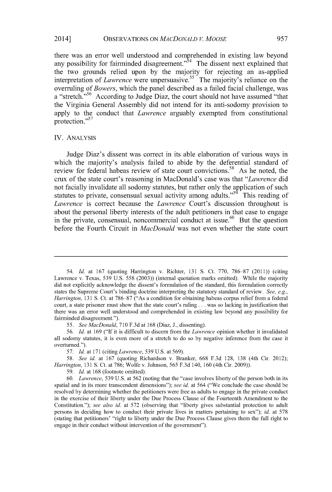### 2014] OBSERVATIONS ON *MACDONALD V. MOOSE* 957

there was an error well understood and comprehended in existing law beyond any possibility for fairminded disagreement."<sup>54</sup> The dissent next explained that the two grounds relied upon by the majority for rejecting an as-applied interpretation of *Lawrence* were unpersuasive.<sup>55</sup> The majority's reliance on the overruling of *Bowers,* which the panel described as a failed facial challenge, was a "stretch."<sup>56</sup> According to Judge Diaz, the court should not have assumed "that the Virginia General Assembly did not intend for its anti-sodomy provision to apply to the conduct that *Lawrence* arguably exempted from constitutional protection.<sup>57</sup>

#### IV. ANALYSIS

Judge Diaz's dissent was correct in its able elaboration of various ways in which the majority's analysis failed to abide by the deferential standard of review for federal habeas review of state court convictions.<sup>58</sup> As he noted, the crux of the state court's reasoning in MacDonald's case was that *"Lawrence* did not facially invalidate all sodomy statutes, but rather only the application of such statutes to private, consensual sexual activity among adults."<sup>59</sup> This reading of *Lawrence* is correct because the *Lawrence* Court's discussion throughout is about the personal liberty interests of the adult petitioners in that case to engage in the private, consensual, noncommercial conduct at issue.<sup>60</sup> But the question before the Fourth Circuit in *MacDonald* was not even whether the state court

59. *Id.* at 168 (footnote omitted).

60. *Lawrence,* 539 U.S. at 562 (noting that the "case involves liberty of the person both in its spatial and in its more transcendent dimensions"); *see id.* at 564 ("We conclude the case should be resolved by determining whether the petitioners were free as adults to engage in the private conduct in the exercise of their liberty under the Due Process Clause of the Fourteenth Amendment to the Constitution."); *see also id.* at 572 (observing that "liberty gives substantial protection to adult persons in deciding how to conduct their private lives in matters pertaining to sex"); *id.* at 578 (stating that petitioners' "right to liberty under the Due Process Clause gives them the full right to engage in their conduct without intervention of the government").

<sup>54.</sup> *Id.* at 167 (quoting Harrington v. Richter, 131 S. Ct. 770, 786-87 (2011)) (citing Lawrence v. Texas, 539 U.S. 558 (2003)) (internal quotation marks omitted). While the majority did not explicitly acknowledge the dissent's formulation of the standard, this formulation correctly states the Supreme Court's binding doctrine interpreting the statutory standard ofreview. *See, e.g., Harrington,* 131 S. Ct. at 786-87 ("As a condition for obtaining habeas corpus relief from a federal court, a state prisoner must show that the state court's ruling ... was so lacking in justification that there was an error well understood and comprehended in existing law beyond any possibility for fairminded disagreement.").

<sup>55.</sup> *See MacDonald,* 710 F.3d at 168 (Diaz, J., dissenting).

<sup>56.</sup> *Id.* at 169 ("If it is difficult to discern from the *Lawrence* opinion whether it invalidated all sodomy statutes, it is even more of a stretch to do so by negative inference from the case it overturned.").

<sup>57.</sup> *Id.* at 171 (citing *Lawrence,* 539 U.S. at 569).

<sup>58.</sup> *See id.* at 167 (quoting Richardson v. Branker, 668 F.3d 128, 138 (4th Cir. 2012); *Harrington,* 131 S. Ct. at 786; Wolfe v. Johnson, 565 F.3d 140, 160 (4th Cir. 2009)).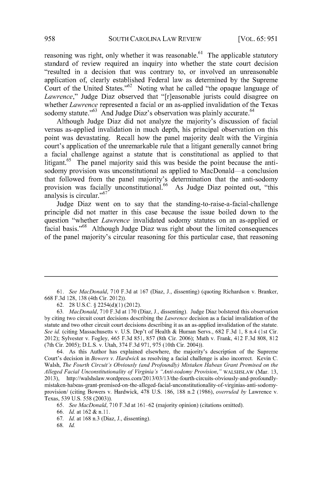reasoning was right, only whether it was reasonable.<sup>61</sup> The applicable statutory standard of review required an inquiry into whether the state court decision "resulted in a decision that was contrary to, or involved an unreasonable application of, clearly established Federal law as determined by the Supreme Court of the United States."<sup>62</sup> Noting what he called "the opaque language of *Lawrence,"* Judge Diaz observed that "[r]easonable jurists could disagree on whether *Lawrence* represented a facial or an as-applied invalidation of the Texas sodomy statute."<sup>63</sup> And Judge Diaz's observation was plainly accurate.<sup>64</sup>

Although Judge Diaz did not analyze the majority's discussion of facial versus as-applied invalidation in much depth, his principal observation on this point was devastating. Recall how the panel majority dealt with the Virginia court's application of the unremarkable rule that a litigant generally cannot bring a facial challenge against a statute that is constitutional as applied to that litigant.<sup>65</sup> The panel majority said this was beside the point because the antisodomy provision was unconstitutional as applied to MacDonald-a conclusion that followed from the panel majority's determination that the anti-sodomy provision was facially unconstitutional.<sup>66</sup> As Judge Diaz pointed out, "this analysis is circular."<sup>67</sup>

Judge Diaz went on to say that the standing-to-raise-a-facial-challenge principle did not matter in this case because the issue boiled down to the question "whether *Lawrence* invalidated sodomy statutes on an as-applied or facial basis."68 Although Judge Diaz was right about the limited consequences of the panel majority's circular reasoning for this particular case, that reasoning

67. *Id.* at 168 n.3 (Diaz, J., dissenting).

68. *Id.* 

<sup>61.</sup> *See MacDonald,* 710 F.3d at 167 (Diaz, J., dissenting) (quoting Richardson v. Branker, 668 F.3d 128, 138 (4th Cir. 2012)).

<sup>62. 28</sup> U.S.C. § 2254(d)(l) (2012).

<sup>63.</sup> *MacDonald,* 710 F.3d at 170 (Diaz, J., dissenting). Judge Diaz bolstered this observation by citing two circuit court decisions describing the *Lawrence* decision as a facial invalidation of the statute and two other circuit court decisions describing it as an as-applied invalidation of the statute. *See id.* (citing Massachusetts v. U.S. Dep't of Health & Human Servs., 682 F.3d 1, 8 n.4 (1st Cir. 2012); Sylvester v. Fogley, 465 F.3d 851, 857 (8th Cir. 2006); Muth v. Frank, 412 F.3d 808, 812 (7th Cir. 2005); D.L.S. v. Utah, 374 F.3d 971, 975 (10th Cir. 2004)).

<sup>64.</sup> As this Author has explained elsewhere, the majority's description of the Supreme Court's decision in *Bowers v. Hardwick* as resolving a facial challenge is also incorrect. Kevin C. Walsh, *The Fourth Circuit's Obviously (and Profoundly) Mistaken Habeas Grant Premised on the*  Alleged Facial Unconstitutionality of Virginia's "Anti-sodomy Provision," WALSHSLAW (Mar. 13, 2013 ), http://walshslaw.wordpress.com/2013/03/13/the-fourth-circuits-obviously-and-profoundlymis taken-habeas-grant -premised-on-the-alleged-facial-unconstitutionality-of-virginias-anti-sodomyprovision/ (citing Bowers v. Hardwick, 478 U.S. 186, 188 n.2 (1986), *overruled by* Lawrence v. Texas, 539 U.S. 558 (2003)).

<sup>65.</sup> *See MacDonald,* 710 F.3d at 161-62 (majority opinion) (citations omitted).

<sup>66.</sup> *Id.* at 162 & n.11.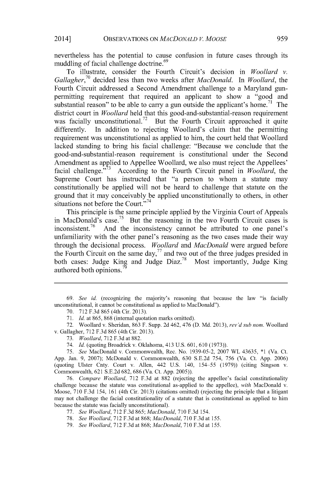nevertheless has the potential to cause confusion in future cases through its muddling of facial challenge doctrine.<sup>69</sup>

To illustrate, consider the Fourth Circuit's decision in *Woollard v. Gallagher,<sup>70</sup>*decided less than two weeks after *MacDonald.* In *Woollard,* the Fourth Circuit addressed a Second Amendment challenge to a Maryland gunpermitting requirement that required an applicant to show a "good and substantial reason" to be able to carry a gun outside the applicant's home.<sup>71</sup> The district court in *Woollard* held that this good-and-substantial-reason requirement was facially unconstitutional.<sup>72</sup> But the Fourth Circuit approached it quite differently. In addition to rejecting Woollard's claim that the permitting requirement was unconstitutional as applied to him, the court held that Woollard lacked standing to bring his facial challenge: "Because we conclude that the good-and-substantial-reason requirement is constitutional under the Second Amendment as applied to Appellee Woollard, we also must reject the Appellees' facial challenge."<sup>73</sup> According to the Fourth Circuit panel in *Woollard*, the Supreme Court has instructed that "a person to whom a statute may constitutionally be applied will not be heard to challenge that statute on the ground that it may conceivably be applied unconstitutionally to others, in other situations not before the Court."<sup>74</sup>

This principle is the same principle applied by the Virginia Court of Appeals in MacDonald's case.75 But the reasoning in the two Fourth Circuit cases is inconsistent.<sup>76</sup> And the inconsistency cannot be attributed to one panel's unfamiliarity with the other panel's reasoning as the two cases made their way through the decisional process. *Woollard* and *MacDonald* were argued before the Fourth Circuit on the same day, $^{77}$  and two out of the three judges presided in both cases: Judge King and Judge Diaz.<sup>78</sup> Most importantly, Judge King authored both opinions.

<sup>69.</sup> *See id.* (recognizing the majority's reasoning that because the law "is facially unconstitutional, it cannot be constitutional as applied to MacDonald").

<sup>70. 712</sup> F.3d 865 (4th Cir. 2013).

<sup>71.</sup> *Id.* at 865, 868 (internal quotation marks omitted).

<sup>72.</sup> Woollard v. Sheridan, 863 F. Supp. 2d 462, 476 (D. Md. 2013), *rev'd sub nom.* Woollard v. Gallagher, 712 F.3d 865 (4th Cir. 2013).

<sup>73.</sup> *Woollard,* 712 F.3d at 882.

<sup>74.</sup> *Id.* (quoting Broadrick v. Oklahoma, 413 U.S. 601, 610 (1973)).

<sup>75.</sup> *See* MacDonald v. Commonwealth, Rec. No. 1939-05-2, 2007 WL 43635, \*l (Va. Ct. App. Jan. 9, 2007); McDonald v. Commonwealth, 630 S.E.2d 754, 756 (Va. Ct. App. 2006) (quoting Ulster Cnty. Court v. Allen, 442 U.S. 140, 154-55 (1979)) (citing Singson v. Commonwealth, 621 S.E.2d 682, 686 (Va. Ct. App. 2005)).

<sup>76.</sup> *Compare Woollard,* 712 F.3d at 882 (rejecting the appellee's facial constitutionality challenge because the statute was constitutional as-applied to the appellee), *with* MacDonald v. Moose, 710 F.3d 154, 161 (4th Cir. 2013) (citations omitted) (rejecting the principle that a litigant may not challenge the facial constitutionality of a statute that is constitutional as applied to him because the statute was facially unconstitutional).

<sup>77.</sup> *See Woollard,* 712 F.3d 865; *MacDonald,* 710 F.3d 154.

<sup>78.</sup> *See Woollard,* 712 F.3d at 868; *MacDonald,* 710 F.3d at 155.

<sup>79.</sup> *See Woollard,* 712 F.3d at 868; *MacDonald,* 710 F.3d at 155.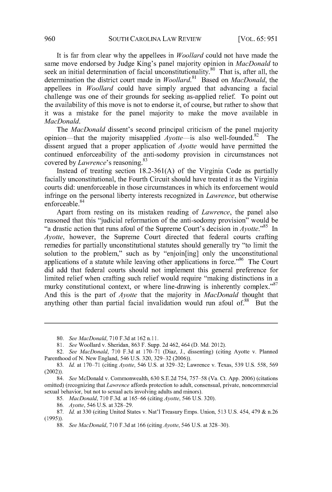It is far from clear why the appellees in *Woollard* could not have made the same move endorsed by Judge King's panel majority opinion in *MacDonald* to seek an initial determination of facial unconstitutionality.<sup>80</sup> That is, after all, the determination the district court made in *Woollard.* 81 Based on *MacDonald,* the appellees in *Woollard* could have simply argued that advancing a facial challenge was one of their grounds for seeking as-applied relief. To point out the availability of this move is not to endorse it, of course, but rather to show that it was a mistake for the panel majority to make the move available in *MacDonald.* 

The *MacDonald* dissent's second principal criticism of the panel majority opinion—that the majority misapplied  $A$ *yotte*—is also well-founded. <sup>82</sup> The dissent argued that a proper application of *Ayotte* would have permitted the continued enforceability of the anti-sodomy provision in circumstances not covered by *Lawrence*'s reasoning.<sup>83</sup>

Instead of treating section 18.2-361(A) of the Virginia Code as partially facially unconstitutional, the Fourth Circuit should have treated it as the Virginia courts did: unenforceable in those circumstances in which its enforcement would infringe on the personal liberty interests recognized in *Lawrence,* but otherwise enforceable. 84

Apart from resting on its mistaken reading of *Lawrence,* the panel also reasoned that this "judicial reformation of the anti-sodomy provision" would be "a drastic action that runs afoul of the Supreme Court's decision in Ayotte."<sup>85</sup>In *Ayotte,* however, the Supreme Court directed that federal courts crafting remedies for partially unconstitutional statutes should generally try "to limit the solution to the problem," such as by "enjoin[ing] only the unconstitutional applications of a statute while leaving other applications in force."<sup>86</sup> The Court did add that federal courts should not implement this general preference for limited relief when crafting such relief would require "making distinctions in a murky constitutional context, or where line-drawing is inherently complex."<sup>87</sup> And this is the part of *Ayotte* that the majority in *MacDonald* thought that anything other than partial facial invalidation would run afoul of.<sup>88</sup> But the

<sup>80.</sup> *See MacDonald,* 710 F.3d at 162 n.11.

<sup>81.</sup> *See* Woollard v. Sheridan, 863 F. Supp. 2d 462, 464 (D. Md. 2012).

<sup>82.</sup> *See MacDonald,* 710 F.3d at 170-71 (Diaz, J., dissenting) (citing Ayotte v. Planned Parenthood of N. New England, 546 U.S. 320, 329-32 (2006)).

<sup>83.</sup> *Id.* at 170-71 (citing *Ayotte,* 546 U.S. at 329-32; Lawrence v. Texas, 539 U.S. 558, 569 (2002)).

<sup>84.</sup> *See* McDonald v. Commonwealth, 630 S.E.2d 754, 757-58 (Va. Ct. App. 2006) (citations omitted) (recognizing that *Lawrence* affords protection to adult, consensual, private, noncommercial sexual behavior, but not to sexual acts involving adults and minors).

<sup>85.</sup> *MacDonald,* 710 F.3d. at 165-66 (citing *Ayotte,* 546 U.S. 320).

<sup>86.</sup> *Ayotte,* 546 U.S. at 328-29.

<sup>87.</sup> *Id.* at 330 (citing United States v. Nat'l Treasury Emps. Union, 513 U.S. 454, 479 & n.26 (1995)).

<sup>88.</sup> *See MacDonald,* 710 F.3d at 166 (citing *Ayotte,* 546 U.S. at 328-30).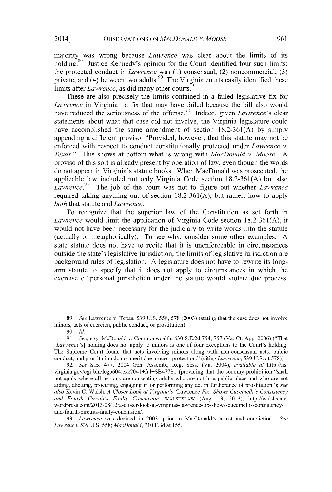majority was wrong because *Lawrence* was clear about the limits of its holding.<sup>89</sup> Justice Kennedy's opinion for the Court identified four such limits: the protected conduct in *Lawrence* was (1) consensual, (2) noncommercial, (3) private, and  $(4)$  between two adults.<sup>90</sup> The Virginia courts easily identified these limits after *Lawrence*, as did many other courts.<sup>91</sup>

These are also precisely the limits contained in a failed legislative fix for Lawrence in Virginia-a fix that may have failed because the bill also would have reduced the seriousness of the offense.<sup>92</sup> Indeed, given *Lawrence's* clear statements about what that case did not involve, the Virginia legislature could have accomplished the same amendment of section 18.2-361(A) by simply appending a different proviso: "Provided, however, that this statute may not be enforced with respect to conduct constitutionally protected under *Lawrence v. Texas."* This shows at bottom what is wrong with *MacDonald v. Moose.* A proviso of this sort is already present by operation oflaw, even though the words do not appear in Virginia's statute books. When MacDonald was prosecuted, the applicable law included not only Virginia Code section 18.2-361(A) but also *Lawrence.<sup>93</sup>*The job of the court was not to figure out whether *Lawrence*  required taking anything out of section 18.2-361(A), but rather, how to apply *both* that statute and *Lawrence.* 

To recognize that the superior law of the Constitution as set forth in *Lawrence* would limit the application of Virginia Code section 18.2-361(A), it would not have been necessary for the judiciary to write words into the statute (actually or metaphorically). To see why, consider some other examples. A state statute does not have to recite that it is unenforceable in circumstances outside the state's legislative jurisdiction; the limits of legislative jurisdiction are background rules of legislation. A legislature does not have to rewrite its longarm statute to specify that it does not apply to circumstances in which the exercise of personal jurisdiction under the statute would violate due process.

<sup>89.</sup> *See* Lawrence v. Texas, 539 U.S. 558, 578 (2003) (stating that the case does not involve minors, acts of coercion, public conduct, or prostitution).

<sup>90.</sup> *Id.* 

<sup>91.</sup> *See, e.g.,* McDonald v. Commonwealth, 630 S.E.2d 754, 757 (Va. Ct. App. 2006) ("That [Lawrence's] holding does not apply to minors is one of four exceptions to the Court's holding. The Supreme Court found that acts involving minors along with non-consensual acts, public conduct, and prostitution do not merit due process protection." (citing *Lawrence,* 539 U.S. at 578)).

<sup>92.</sup> *See* S.B. 477, 2004 Gen. Assemb., Reg. Sess. (Va. 2004), *available at* http://lis. virginia.gov/cgi-bin/legp604.exe?04 l +ful+SB477S1 (providing that the sodomy prohibition "shall not apply where all persons are consenting adults who are not in a public place and who are not aiding, abetting, procuring, engaging in or performing any act in furtherance of prostitution"); *see also* Kevin C. Walsh, *A Closer Look at Virginia's* 'Lawrence *Fix' Shows Cuccinelli's Consistency and Fourth Circuit's Faulty Conclusion,* WALSHSLAW (Aug. 13, 2013), http://walshslaw. wordpress.com/2013/08/ 13/a-closer-look-at-virginias-lawrence-fix-shows-cuccinellis-consistencyand-fourth-circuits-faulty-conclusion/.

<sup>93.</sup> *Lawrence* was decided in 2003, prior to MacDonald's arrest and conviction. *See Lawrence,* 539 U.S. 558; *MacDonald,* 710 F.3d at 155.